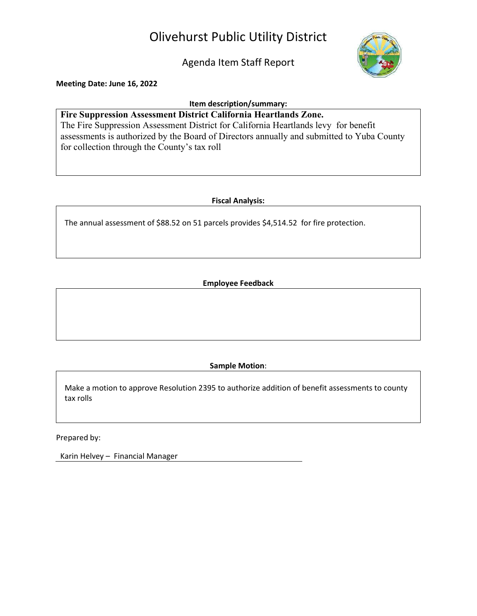# Olivehurst Public Utility District

Agenda Item Staff Report



Meeting Date: June 16, 2022

#### Item description/summary:

Fire Suppression Assessment District California Heartlands Zone. The Fire Suppression Assessment District for California Heartlands levy for benefit assessments is authorized by the Board of Directors annually and submitted to Yuba County for collection through the County's tax roll

## Fiscal Analysis:

The annual assessment of \$88.52 on 51 parcels provides \$4,514.52 for fire protection.

## Employee Feedback

Sample Motion:

Make a motion to approve Resolution 2395 to authorize addition of benefit assessments to county tax rolls

Prepared by:

Karin Helvey – Financial Manager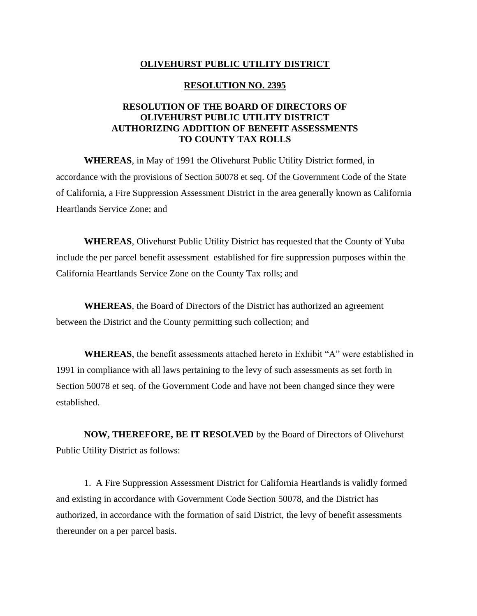#### **OLIVEHURST PUBLIC UTILITY DISTRICT**

#### **RESOLUTION NO. 2395**

## **RESOLUTION OF THE BOARD OF DIRECTORS OF OLIVEHURST PUBLIC UTILITY DISTRICT AUTHORIZING ADDITION OF BENEFIT ASSESSMENTS TO COUNTY TAX ROLLS**

**WHEREAS**, in May of 1991 the Olivehurst Public Utility District formed, in accordance with the provisions of Section 50078 et seq. Of the Government Code of the State of California, a Fire Suppression Assessment District in the area generally known as California Heartlands Service Zone; and

**WHEREAS**, Olivehurst Public Utility District has requested that the County of Yuba include the per parcel benefit assessment established for fire suppression purposes within the California Heartlands Service Zone on the County Tax rolls; and

**WHEREAS**, the Board of Directors of the District has authorized an agreement between the District and the County permitting such collection; and

**WHEREAS**, the benefit assessments attached hereto in Exhibit "A" were established in 1991 in compliance with all laws pertaining to the levy of such assessments as set forth in Section 50078 et seq. of the Government Code and have not been changed since they were established.

**NOW, THEREFORE, BE IT RESOLVED** by the Board of Directors of Olivehurst Public Utility District as follows:

1. A Fire Suppression Assessment District for California Heartlands is validly formed and existing in accordance with Government Code Section 50078, and the District has authorized, in accordance with the formation of said District, the levy of benefit assessments thereunder on a per parcel basis.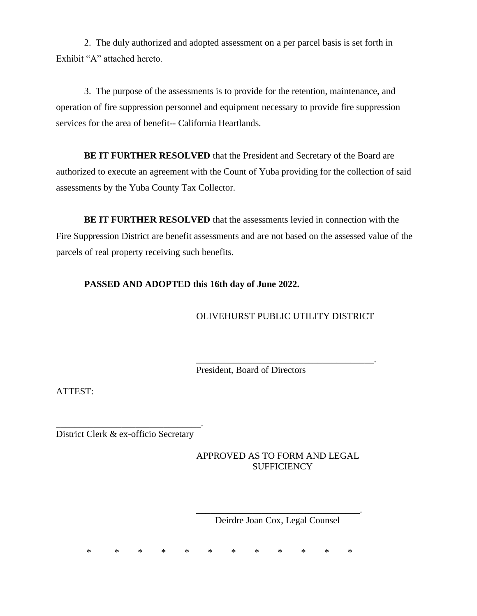2. The duly authorized and adopted assessment on a per parcel basis is set forth in Exhibit "A" attached hereto.

3. The purpose of the assessments is to provide for the retention, maintenance, and operation of fire suppression personnel and equipment necessary to provide fire suppression services for the area of benefit-- California Heartlands.

**BE IT FURTHER RESOLVED** that the President and Secretary of the Board are authorized to execute an agreement with the Count of Yuba providing for the collection of said assessments by the Yuba County Tax Collector.

**BE IT FURTHER RESOLVED** that the assessments levied in connection with the Fire Suppression District are benefit assessments and are not based on the assessed value of the parcels of real property receiving such benefits.

## **PASSED AND ADOPTED this 16th day of June 2022.**

OLIVEHURST PUBLIC UTILITY DISTRICT

\_\_\_\_\_\_\_\_\_\_\_\_\_\_\_\_\_\_\_\_\_\_\_\_\_\_\_\_\_\_\_\_\_\_\_\_\_\_.

President, Board of Directors

ATTEST:

\_\_\_\_\_\_\_\_\_\_\_\_\_\_\_\_\_\_\_\_\_\_\_\_\_\_\_\_\_\_\_. District Clerk & ex-officio Secretary

> APPROVED AS TO FORM AND LEGAL **SUFFICIENCY**

> \_\_\_\_\_\_\_\_\_\_\_\_\_\_\_\_\_\_\_\_\_\_\_\_\_\_\_\_\_\_\_\_\_\_\_. Deirdre Joan Cox, Legal Counsel

\* \* \* \* \* \* \* \* \* \* \* \*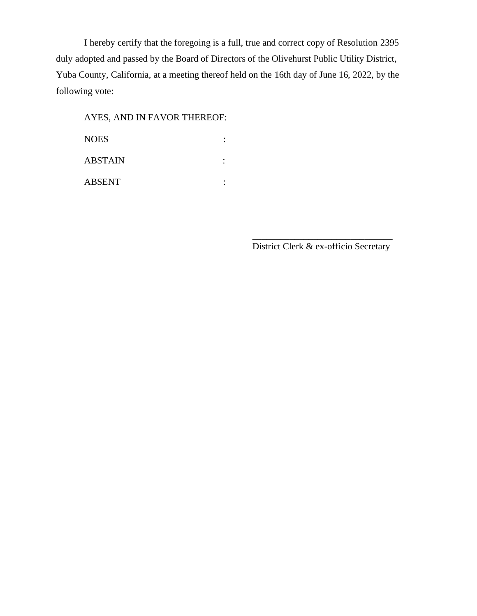I hereby certify that the foregoing is a full, true and correct copy of Resolution 2395 duly adopted and passed by the Board of Directors of the Olivehurst Public Utility District, Yuba County, California, at a meeting thereof held on the 16th day of June 16, 2022, by the following vote:

# AYES, AND IN FAVOR THEREOF:

NOES : ABSTAIN : ABSENT :

> \_\_\_\_\_\_\_\_\_\_\_\_\_\_\_\_\_\_\_\_\_\_\_\_\_\_\_\_\_\_ District Clerk & ex-officio Secretary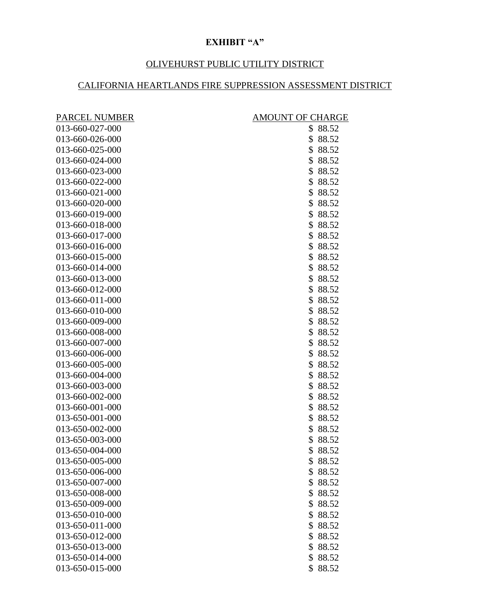# **EXHIBIT "A"**

# OLIVEHURST PUBLIC UTILITY DISTRICT

# CALIFORNIA HEARTLANDS FIRE SUPPRESSION ASSESSMENT DISTRICT

| <b>PARCEL NUMBER</b> | <b>AMOUNT OF CHARGE</b> |  |
|----------------------|-------------------------|--|
| 013-660-027-000      | \$88.52                 |  |
| 013-660-026-000      | \$<br>88.52             |  |
| 013-660-025-000      | \$<br>88.52             |  |
| 013-660-024-000      | \$<br>88.52             |  |
| 013-660-023-000      | \$<br>88.52             |  |
| 013-660-022-000      | \$<br>88.52             |  |
| 013-660-021-000      | \$88.52                 |  |
| 013-660-020-000      | \$88.52                 |  |
| 013-660-019-000      | \$<br>88.52             |  |
| 013-660-018-000      | \$<br>88.52             |  |
| 013-660-017-000      | \$<br>88.52             |  |
| 013-660-016-000      | \$<br>88.52             |  |
| 013-660-015-000      | \$<br>88.52             |  |
| 013-660-014-000      | \$<br>88.52             |  |
| 013-660-013-000      | \$<br>88.52             |  |
| 013-660-012-000      | \$<br>88.52             |  |
| 013-660-011-000      | \$<br>88.52             |  |
| 013-660-010-000      | \$<br>88.52             |  |
| 013-660-009-000      | \$<br>88.52             |  |
| 013-660-008-000      | \$88.52                 |  |
| 013-660-007-000      | \$<br>88.52             |  |
| 013-660-006-000      | \$<br>88.52             |  |
| 013-660-005-000      | \$<br>88.52             |  |
| 013-660-004-000      | \$<br>88.52             |  |
| 013-660-003-000      | \$<br>88.52             |  |
| 013-660-002-000      | \$<br>88.52             |  |
| 013-660-001-000      | \$<br>88.52             |  |
| 013-650-001-000      | \$<br>88.52             |  |
| 013-650-002-000      | \$<br>88.52             |  |
| 013-650-003-000      | \$<br>88.52             |  |
| 013-650-004-000      | \$<br>88.52             |  |
| 013-650-005-000      | \$88.52                 |  |
| 013-650-006-000      | \$<br>88.52             |  |
| 013-650-007-000      | \$88.52                 |  |
| 013-650-008-000      | \$<br>88.52             |  |
| 013-650-009-000      | \$88.52                 |  |
| 013-650-010-000      | 88.52<br>\$             |  |
| 013-650-011-000      | \$88.52                 |  |
| 013-650-012-000      | 88.52<br>\$             |  |
| 013-650-013-000      | \$<br>88.52             |  |
| 013-650-014-000      | \$<br>88.52             |  |
| 013-650-015-000      | \$<br>88.52             |  |